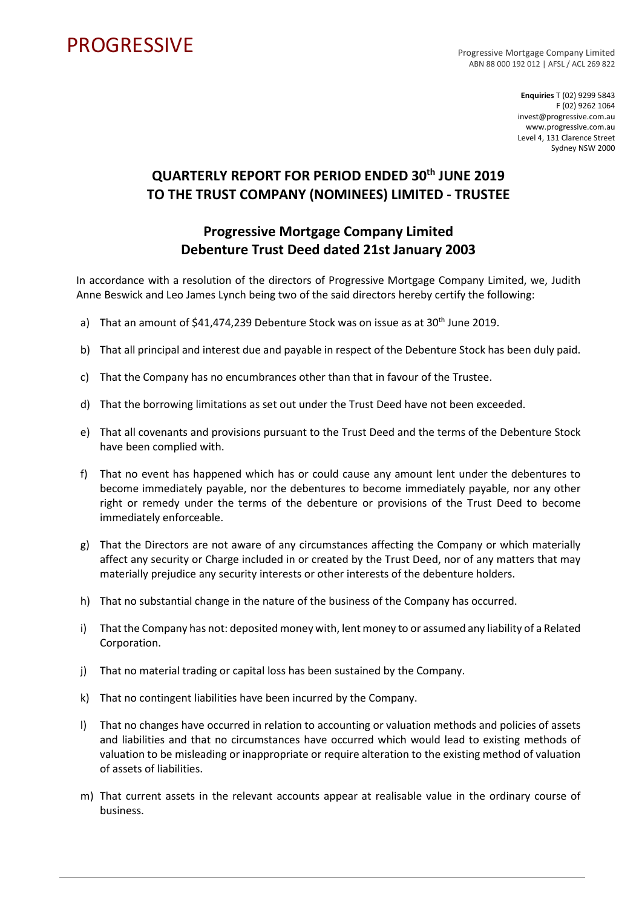## **PROGRESSIVE**

Progressive Mortgage Company Limited ABN 88 000 192 012 | AFSL / ACL 269 822

> **Enquiries** T (02) 9299 5843 F (02) 9262 1064 invest@progressive.com.au www.progressive.com.au Level 4, 131 Clarence Street Sydney NSW 2000

## **QUARTERLY REPORT FOR PERIOD ENDED 30th JUNE 2019 TO THE TRUST COMPANY (NOMINEES) LIMITED - TRUSTEE**

## **Progressive Mortgage Company Limited Debenture Trust Deed dated 21st January 2003**

In accordance with a resolution of the directors of Progressive Mortgage Company Limited, we, Judith Anne Beswick and Leo James Lynch being two of the said directors hereby certify the following:

- a) That an amount of \$41,474,239 Debenture Stock was on issue as at 30<sup>th</sup> June 2019.
- b) That all principal and interest due and payable in respect of the Debenture Stock has been duly paid.
- c) That the Company has no encumbrances other than that in favour of the Trustee.
- d) That the borrowing limitations as set out under the Trust Deed have not been exceeded.
- e) That all covenants and provisions pursuant to the Trust Deed and the terms of the Debenture Stock have been complied with.
- f) That no event has happened which has or could cause any amount lent under the debentures to become immediately payable, nor the debentures to become immediately payable, nor any other right or remedy under the terms of the debenture or provisions of the Trust Deed to become immediately enforceable.
- g) That the Directors are not aware of any circumstances affecting the Company or which materially affect any security or Charge included in or created by the Trust Deed, nor of any matters that may materially prejudice any security interests or other interests of the debenture holders.
- h) That no substantial change in the nature of the business of the Company has occurred.
- i) That the Company has not: deposited money with, lent money to or assumed any liability of a Related Corporation.
- j) That no material trading or capital loss has been sustained by the Company.
- k) That no contingent liabilities have been incurred by the Company.
- l) That no changes have occurred in relation to accounting or valuation methods and policies of assets and liabilities and that no circumstances have occurred which would lead to existing methods of valuation to be misleading or inappropriate or require alteration to the existing method of valuation of assets of liabilities.
- m) That current assets in the relevant accounts appear at realisable value in the ordinary course of business.